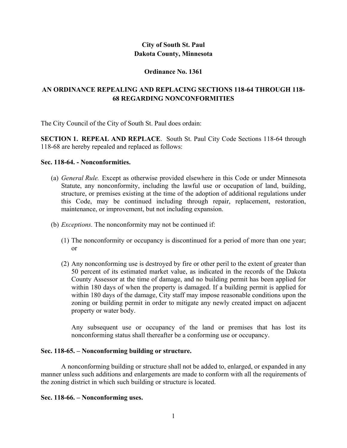# **City of South St. Paul Dakota County, Minnesota**

### **Ordinance No. 1361**

# **AN ORDINANCE REPEALING AND REPLACING SECTIONS 118-64 THROUGH 118- 68 REGARDING NONCONFORMITIES**

The City Council of the City of South St. Paul does ordain:

**SECTION 1. REPEAL AND REPLACE**. South St. Paul City Code Sections 118-64 through 118-68 are hereby repealed and replaced as follows:

### **Sec. 118-64. - Nonconformities.**

- (a) *General Rule.* Except as otherwise provided elsewhere in this Code or under Minnesota Statute, any nonconformity, including the lawful use or occupation of land, building, structure, or premises existing at the time of the adoption of additional regulations under this Code, may be continued including through repair, replacement, restoration, maintenance, or improvement, but not including expansion.
- (b) *Exceptions.* The nonconformity may not be continued if:
	- (1) The nonconformity or occupancy is discontinued for a period of more than one year; or
	- (2) Any nonconforming use is destroyed by fire or other peril to the extent of greater than 50 percent of its estimated market value, as indicated in the records of the Dakota County Assessor at the time of damage, and no building permit has been applied for within 180 days of when the property is damaged. If a building permit is applied for within 180 days of the damage, City staff may impose reasonable conditions upon the zoning or building permit in order to mitigate any newly created impact on adjacent property or water body.

Any subsequent use or occupancy of the land or premises that has lost its nonconforming status shall thereafter be a conforming use or occupancy.

### **Sec. 118-65. – Nonconforming building or structure.**

A nonconforming building or structure shall not be added to, enlarged, or expanded in any manner unless such additions and enlargements are made to conform with all the requirements of the zoning district in which such building or structure is located.

### **Sec. 118-66. – Nonconforming uses.**